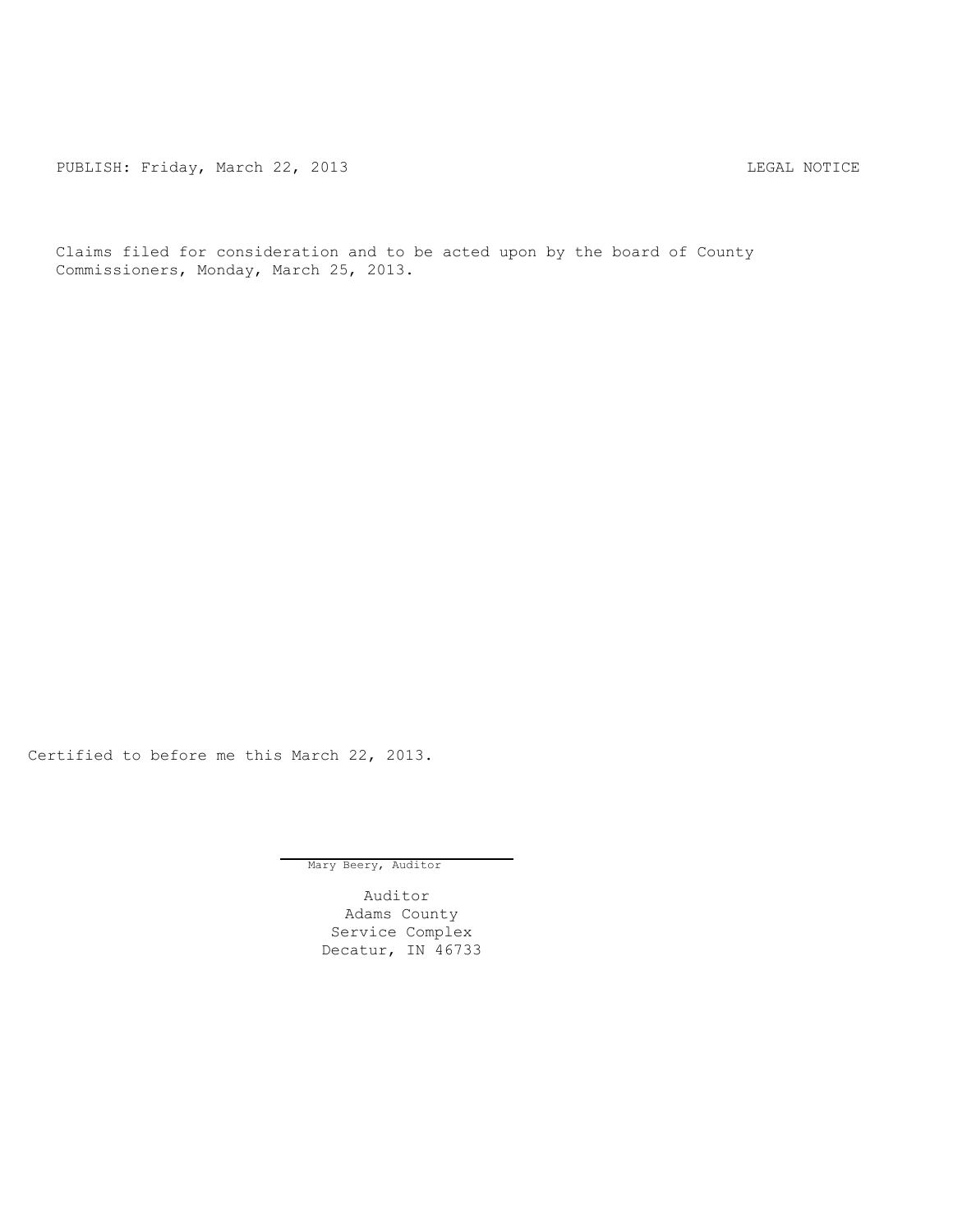PUBLISH: Friday, March 22, 2013 CHA CHANGE AND THE SAL NOTICE

Claims filed for consideration and to be acted upon by the board of County Commissioners, Monday, March 25, 2013.

Certified to before me this March 22, 2013.

Mary Beery, Auditor

Auditor Adams County Service Complex Decatur, IN 46733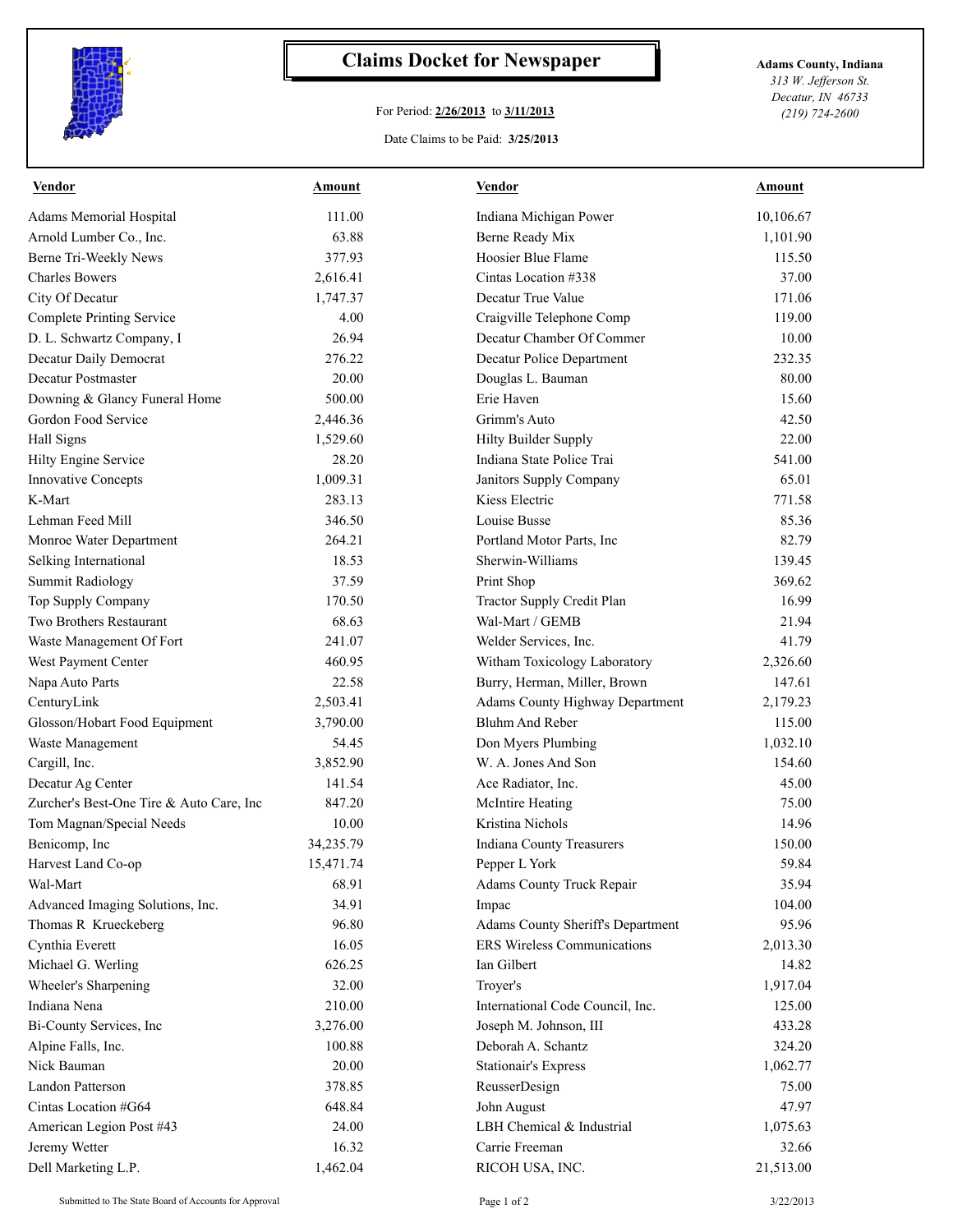

## **Claims Docket for Newspaper Adams County, Indiana**

## For Period: **2/26/2013** to **3/11/2013**

Date Claims to be Paid: **3/25/2013**

*313 W. Jefferson St. Decatur, IN 46733 (219) 724-2600*

| Vendor                                   | <b>Amount</b> | <b>Vendor</b>                     | Amount    |
|------------------------------------------|---------------|-----------------------------------|-----------|
| <b>Adams Memorial Hospital</b>           | 111.00        | Indiana Michigan Power            | 10,106.67 |
| Arnold Lumber Co., Inc.                  | 63.88         | Berne Ready Mix                   | 1,101.90  |
| Berne Tri-Weekly News                    | 377.93        | Hoosier Blue Flame                | 115.50    |
| <b>Charles Bowers</b>                    | 2,616.41      | Cintas Location #338              | 37.00     |
| City Of Decatur                          | 1,747.37      | Decatur True Value                | 171.06    |
| <b>Complete Printing Service</b>         | 4.00          | Craigville Telephone Comp         | 119.00    |
| D. L. Schwartz Company, I                | 26.94         | Decatur Chamber Of Commer         | 10.00     |
| Decatur Daily Democrat                   | 276.22        | Decatur Police Department         | 232.35    |
| Decatur Postmaster                       | 20.00         | Douglas L. Bauman                 | 80.00     |
| Downing & Glancy Funeral Home            | 500.00        | Erie Haven                        | 15.60     |
| Gordon Food Service                      | 2,446.36      | Grimm's Auto                      | 42.50     |
| Hall Signs                               | 1,529.60      | Hilty Builder Supply              | 22.00     |
| Hilty Engine Service                     | 28.20         | Indiana State Police Trai         | 541.00    |
| <b>Innovative Concepts</b>               | 1,009.31      | Janitors Supply Company           | 65.01     |
| K-Mart                                   | 283.13        | Kiess Electric                    | 771.58    |
| Lehman Feed Mill                         | 346.50        | Louise Busse                      | 85.36     |
| Monroe Water Department                  | 264.21        | Portland Motor Parts, Inc.        | 82.79     |
| Selking International                    | 18.53         | Sherwin-Williams                  | 139.45    |
| <b>Summit Radiology</b>                  | 37.59         | Print Shop                        | 369.62    |
| Top Supply Company                       | 170.50        | <b>Tractor Supply Credit Plan</b> | 16.99     |
| Two Brothers Restaurant                  | 68.63         | Wal-Mart / GEMB                   | 21.94     |
| Waste Management Of Fort                 | 241.07        | Welder Services, Inc.             | 41.79     |
| West Payment Center                      | 460.95        | Witham Toxicology Laboratory      | 2,326.60  |
| Napa Auto Parts                          | 22.58         | Burry, Herman, Miller, Brown      | 147.61    |
| CenturyLink                              | 2,503.41      | Adams County Highway Department   | 2,179.23  |
| Glosson/Hobart Food Equipment            | 3,790.00      | <b>Bluhm And Reber</b>            | 115.00    |
| Waste Management                         | 54.45         | Don Myers Plumbing                | 1,032.10  |
| Cargill, Inc.                            | 3,852.90      | W. A. Jones And Son               | 154.60    |
| Decatur Ag Center                        | 141.54        | Ace Radiator, Inc.                | 45.00     |
| Zurcher's Best-One Tire & Auto Care, Inc | 847.20        | McIntire Heating                  | 75.00     |
| Tom Magnan/Special Needs                 | 10.00         | Kristina Nichols                  | 14.96     |
| Benicomp, Inc                            | 34,235.79     | <b>Indiana County Treasurers</b>  | 150.00    |
| Harvest Land Co-op                       | 15,471.74     | Pepper L York                     | 59.84     |
| Wal-Mart                                 | 68.91         | Adams County Truck Repair         | 35.94     |
| Advanced Imaging Solutions, Inc.         | 34.91         | Impac                             | 104.00    |
| Thomas R Krueckeberg                     | 96.80         | Adams County Sheriff's Department | 95.96     |
| Cynthia Everett                          | 16.05         | ERS Wireless Communications       | 2,013.30  |
| Michael G. Werling                       | 626.25        | Ian Gilbert                       | 14.82     |
| Wheeler's Sharpening                     | 32.00         | Troyer's                          | 1,917.04  |
| Indiana Nena                             | 210.00        | International Code Council, Inc.  | 125.00    |
| Bi-County Services, Inc                  | 3,276.00      | Joseph M. Johnson, III            | 433.28    |
| Alpine Falls, Inc.                       | 100.88        | Deborah A. Schantz                | 324.20    |
| Nick Bauman                              | 20.00         | Stationair's Express              | 1,062.77  |
| <b>Landon Patterson</b>                  | 378.85        | ReusserDesign                     | 75.00     |
| Cintas Location #G64                     | 648.84        | John August                       | 47.97     |
| American Legion Post #43                 | 24.00         | LBH Chemical & Industrial         | 1,075.63  |
| Jeremy Wetter                            | 16.32         | Carrie Freeman                    | 32.66     |
| Dell Marketing L.P.                      | 1,462.04      | RICOH USA, INC.                   | 21,513.00 |